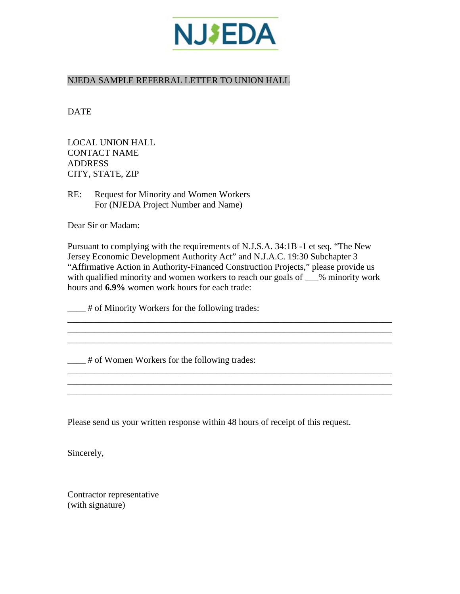

## NJEDA SAMPLE REFERRAL LETTER TO UNION HALL

DATE

LOCAL UNION HALL CONTACT NAME ADDRESS CITY, STATE, ZIP

RE: Request for Minority and Women Workers For (NJEDA Project Number and Name)

Dear Sir or Madam:

Pursuant to complying with the requirements of N.J.S.A. 34:1B -1 et seq. "The New Jersey Economic Development Authority Act" and N.J.A.C. 19:30 Subchapter 3 "Affirmative Action in Authority-Financed Construction Projects," please provide us with qualified minority and women workers to reach our goals of  $\_\_\%$  minority work hours and **6.9%** women work hours for each trade:

\_\_\_\_\_\_\_\_\_\_\_\_\_\_\_\_\_\_\_\_\_\_\_\_\_\_\_\_\_\_\_\_\_\_\_\_\_\_\_\_\_\_\_\_\_\_\_\_\_\_\_\_\_\_\_\_\_\_\_\_\_\_\_\_\_\_\_\_\_\_\_\_

\_\_\_\_\_\_\_\_\_\_\_\_\_\_\_\_\_\_\_\_\_\_\_\_\_\_\_\_\_\_\_\_\_\_\_\_\_\_\_\_\_\_\_\_\_\_\_\_\_\_\_\_\_\_\_\_\_\_\_\_\_\_\_\_\_\_\_\_\_\_\_\_

\_\_\_\_\_\_\_\_\_\_\_\_\_\_\_\_\_\_\_\_\_\_\_\_\_\_\_\_\_\_\_\_\_\_\_\_\_\_\_\_\_\_\_\_\_\_\_\_\_\_\_\_\_\_\_\_\_\_\_\_\_\_\_\_\_\_\_\_\_\_\_\_

\_\_\_\_\_\_\_\_\_\_\_\_\_\_\_\_\_\_\_\_\_\_\_\_\_\_\_\_\_\_\_\_\_\_\_\_\_\_\_\_\_\_\_\_\_\_\_\_\_\_\_\_\_\_\_\_\_\_\_\_\_\_\_\_\_\_\_\_\_\_\_\_

\_\_\_\_ # of Minority Workers for the following trades:

\_\_\_\_ # of Women Workers for the following trades:

Please send us your written response within 48 hours of receipt of this request.

Sincerely,

Contractor representative (with signature)